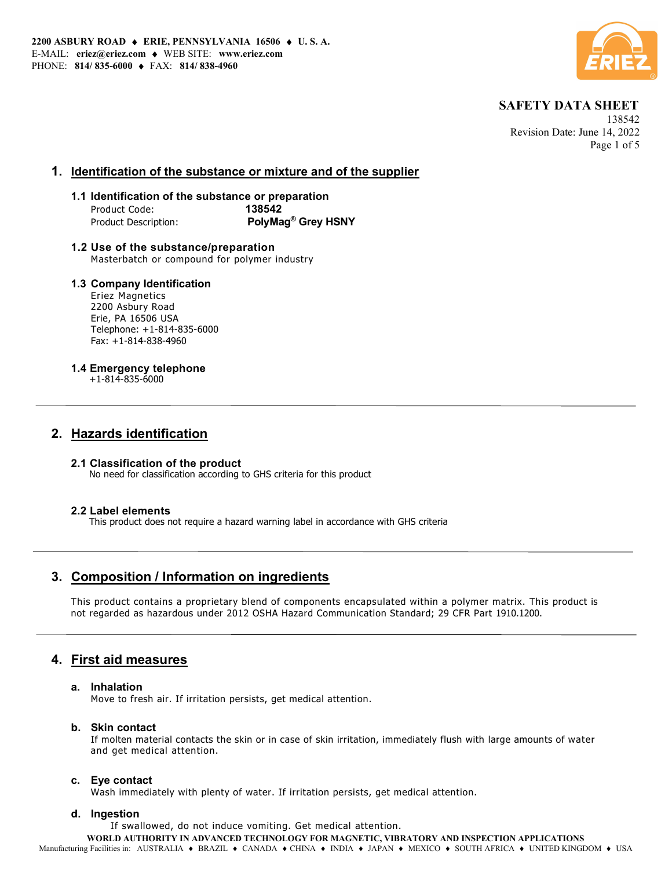

 138542 Revision Date: June 14, 2022 Page 1 of 5

### 1. Identification of the substance or mixture and of the supplier

### 1.1 Identification of the substance or preparation Product Code: 138542 Product Description: PolyMag<sup>®</sup> Grey HSNY

1.2 Use of the substance/preparation Masterbatch or compound for polymer industry

### 1.3 Company Identification

Eriez Magnetics 2200 Asbury Road Erie, PA 16506 USA Telephone: +1-814-835-6000 Fax: +1-814-838-4960

### 1.4 Emergency telephone

+1-814-835-6000

## 2. Hazards identification

### 2.1 Classification of the product No need for classification according to GHS criteria for this product

### 2.2 Label elements

This product does not require a hazard warning label in accordance with GHS criteria

# 3. Composition / Information on ingredients

This product contains a proprietary blend of components encapsulated within a polymer matrix. This product is not regarded as hazardous under 2012 OSHA Hazard Communication Standard; 29 CFR Part 1910.1200.

# 4. First aid measures

### a. Inhalation

Move to fresh air. If irritation persists, get medical attention.

### b. Skin contact

If molten material contacts the skin or in case of skin irritation, immediately flush with large amounts of water and get medical attention.

### c. Eye contact

Wash immediately with plenty of water. If irritation persists, get medical attention.

### d. Ingestion

If swallowed, do not induce vomiting. Get medical attention.

WORLD AUTHORITY IN ADVANCED TECHNOLOGY FOR MAGNETIC, VIBRATORY AND INSPECTION APPLICATIONS

Manufacturing Facilities in: AUSTRALIA • BRAZIL • CANADA • CHINA • INDIA • JAPAN • MEXICO • SOUTH AFRICA • UNITED KINGDOM • USA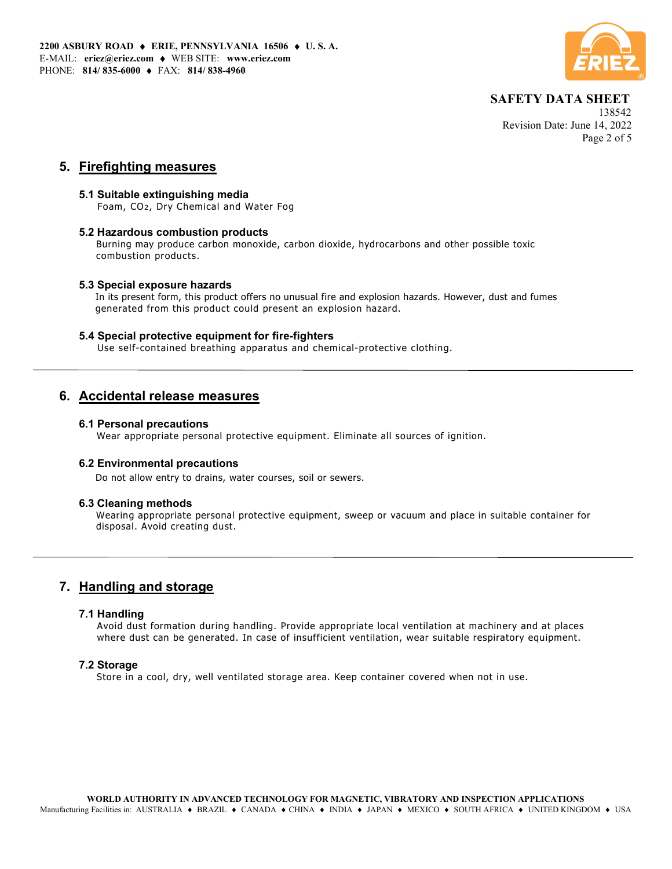

 138542 Revision Date: June 14, 2022 Page 2 of 5

## 5. Firefighting measures

### 5.1 Suitable extinguishing media

Foam, CO2, Dry Chemical and Water Fog

### 5.2 Hazardous combustion products

Burning may produce carbon monoxide, carbon dioxide, hydrocarbons and other possible toxic combustion products.

### 5.3 Special exposure hazards

In its present form, this product offers no unusual fire and explosion hazards. However, dust and fumes generated from this product could present an explosion hazard.

### 5.4 Special protective equipment for fire-fighters

Use self-contained breathing apparatus and chemical-protective clothing.

## 6. Accidental release measures

### 6.1 Personal precautions

Wear appropriate personal protective equipment. Eliminate all sources of ignition.

### 6.2 Environmental precautions

Do not allow entry to drains, water courses, soil or sewers.

### 6.3 Cleaning methods

Wearing appropriate personal protective equipment, sweep or vacuum and place in suitable container for disposal. Avoid creating dust.

# 7. Handling and storage

### 7.1 Handling

Avoid dust formation during handling. Provide appropriate local ventilation at machinery and at places where dust can be generated. In case of insufficient ventilation, wear suitable respiratory equipment.

### 7.2 Storage

Store in a cool, dry, well ventilated storage area. Keep container covered when not in use.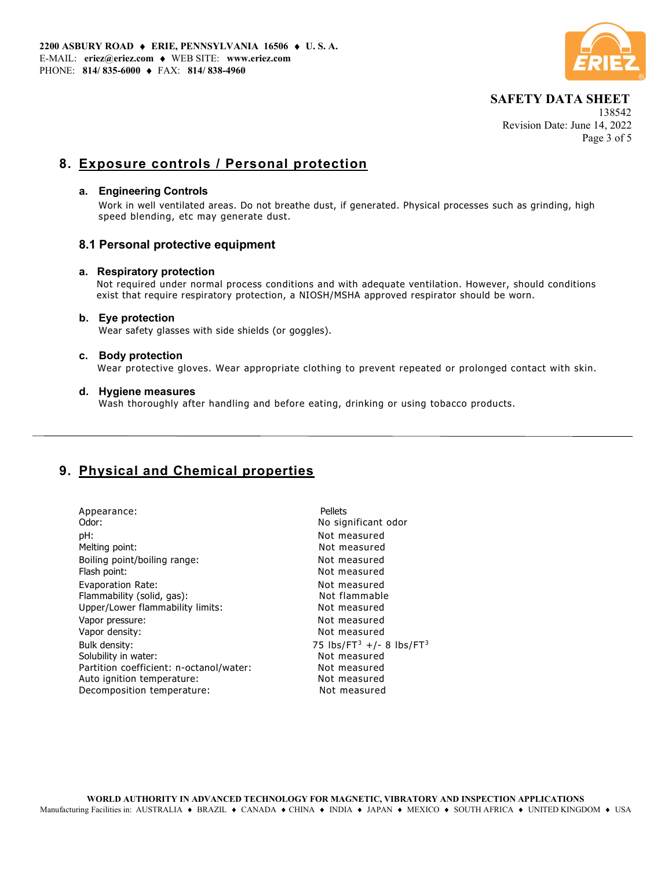

 138542 Revision Date: June 14, 2022 Page 3 of 5

# 8. Exposure controls / Personal protection

### a. Engineering Controls

Work in well ventilated areas. Do not breathe dust, if generated. Physical processes such as grinding, high speed blending, etc may generate dust.

### 8.1 Personal protective equipment

### a. Respiratory protection

 Not required under normal process conditions and with adequate ventilation. However, should conditions exist that require respiratory protection, a NIOSH/MSHA approved respirator should be worn.

### b. Eye protection

Wear safety glasses with side shields (or goggles).

### c. Body protection

Wear protective gloves. Wear appropriate clothing to prevent repeated or prolonged contact with skin.

### d. Hygiene measures

Wash thoroughly after handling and before eating, drinking or using tobacco products.

# 9. Physical and Chemical properties

| Appearance:<br>Odor:                           | Pellets<br>No significant odor                   |
|------------------------------------------------|--------------------------------------------------|
| pH:                                            | Not measured                                     |
| Melting point:<br>Boiling point/boiling range: | Not measured<br>Not measured                     |
| Flash point:                                   | Not measured                                     |
| Evaporation Rate:                              | Not measured                                     |
| Flammability (solid, gas):                     | Not flammable                                    |
| Upper/Lower flammability limits:               | Not measured                                     |
| Vapor pressure:                                | Not measured                                     |
| Vapor density:                                 | Not measured                                     |
| Bulk density:                                  | 75 lbs/FT <sup>3</sup> +/- 8 lbs/FT <sup>3</sup> |
| Solubility in water:                           | Not measured                                     |
| Partition coefficient: n-octanol/water:        | Not measured                                     |
| Auto ignition temperature:                     | Not measured                                     |
| Decomposition temperature:                     | Not measured                                     |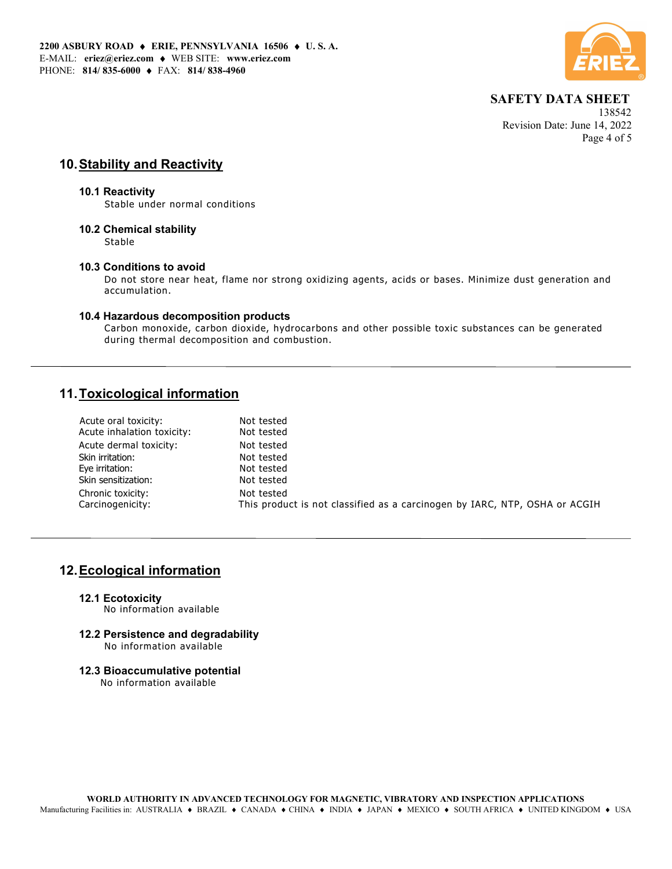

 138542 Revision Date: June 14, 2022 Page 4 of 5

# 10. Stability and Reactivity

#### 10.1 Reactivity

Stable under normal conditions

### 10.2 Chemical stability

Stable

### 10.3 Conditions to avoid

Do not store near heat, flame nor strong oxidizing agents, acids or bases. Minimize dust generation and accumulation.

### 10.4 Hazardous decomposition products

Carbon monoxide, carbon dioxide, hydrocarbons and other possible toxic substances can be generated during thermal decomposition and combustion.

# 11. Toxicological information

| Acute inhalation toxicity:<br>Not tested                                                       |  |
|------------------------------------------------------------------------------------------------|--|
| Acute dermal toxicity:<br>Not tested                                                           |  |
| Skin irritation:<br>Not tested                                                                 |  |
| Eye irritation:<br>Not tested                                                                  |  |
| Skin sensitization:<br>Not tested                                                              |  |
| Chronic toxicity:<br>Not tested                                                                |  |
| Carcinogenicity:<br>This product is not classified as a carcinogen by IARC, NTP, OSHA or ACGIH |  |

## 12. Ecological information

12.1 Ecotoxicity

No information available

- 12.2 Persistence and degradability No information available
- 12.3 Bioaccumulative potential

No information available